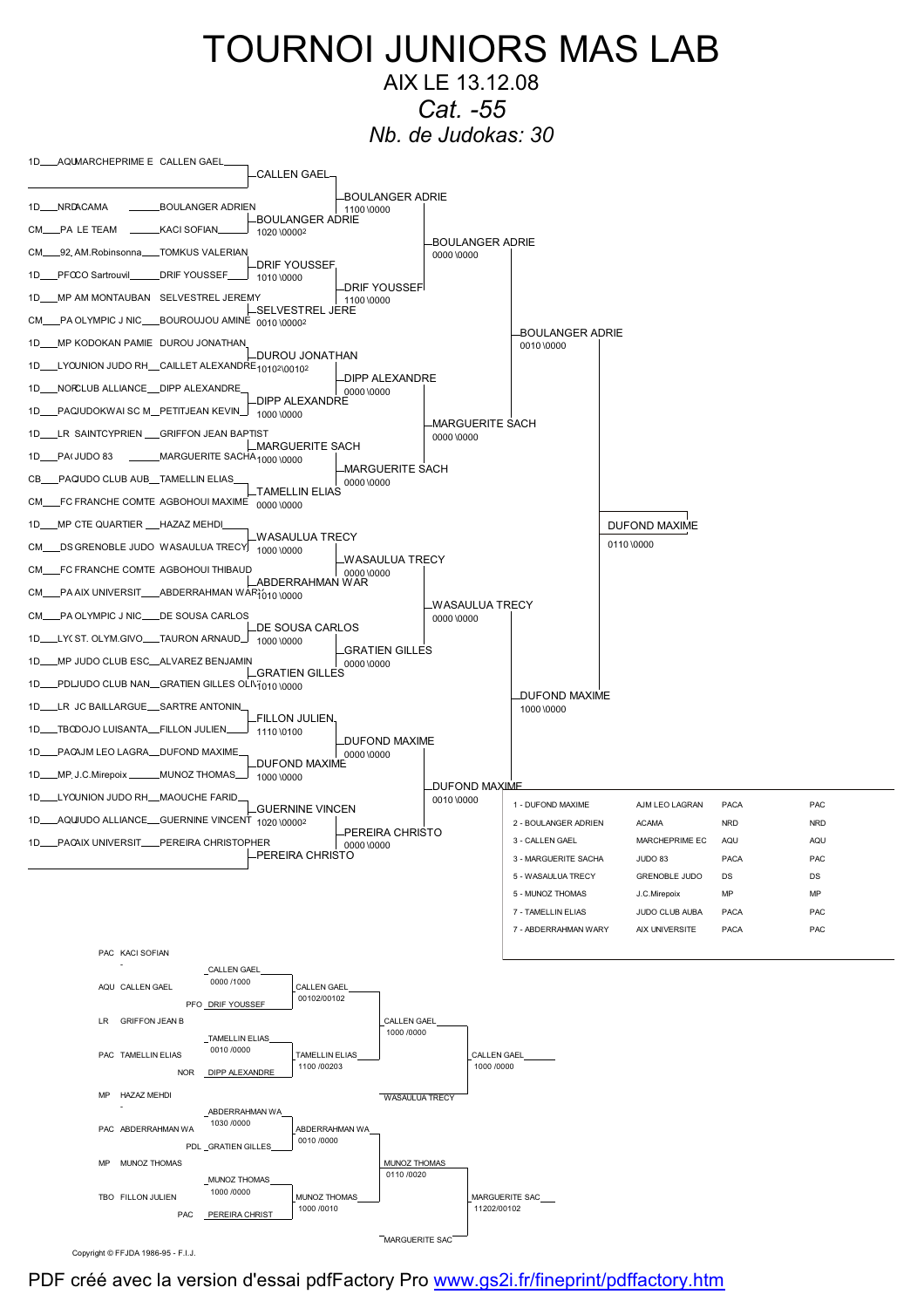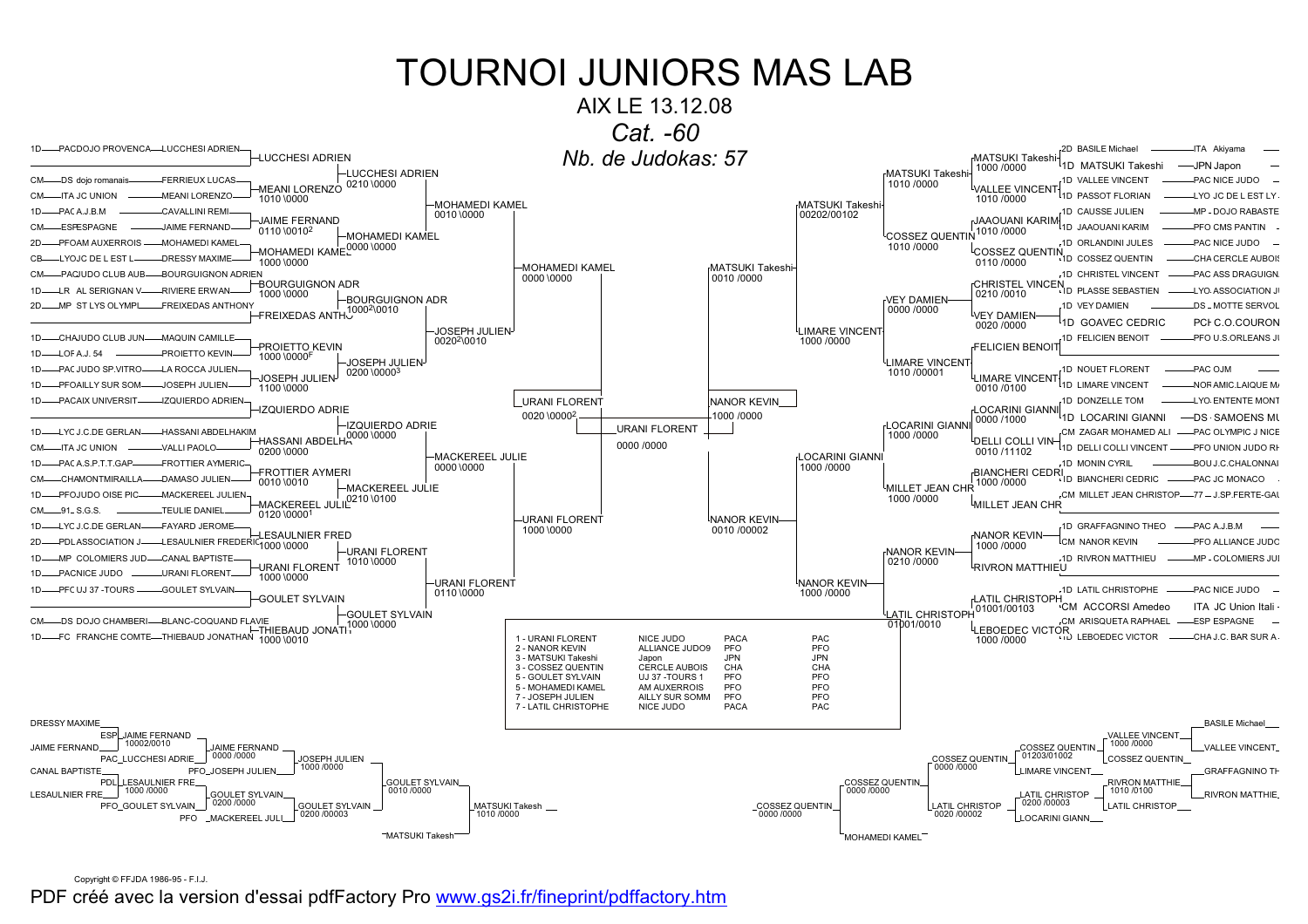### AIX LE 13.12.08



Copyright © FFJDA 1986-95 - F.I.J.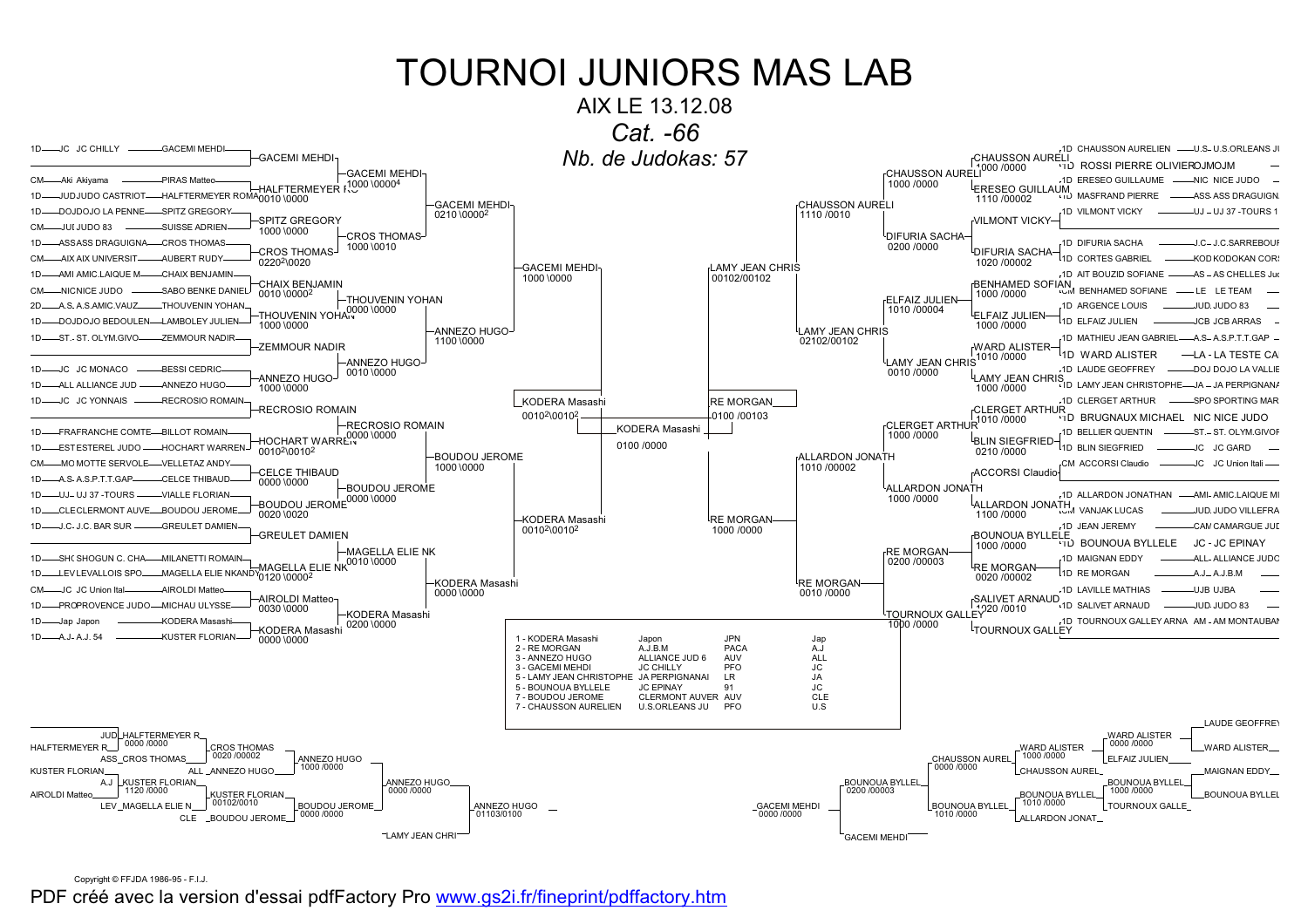

Copyright © FFJDA 1986-95 - F.I.J.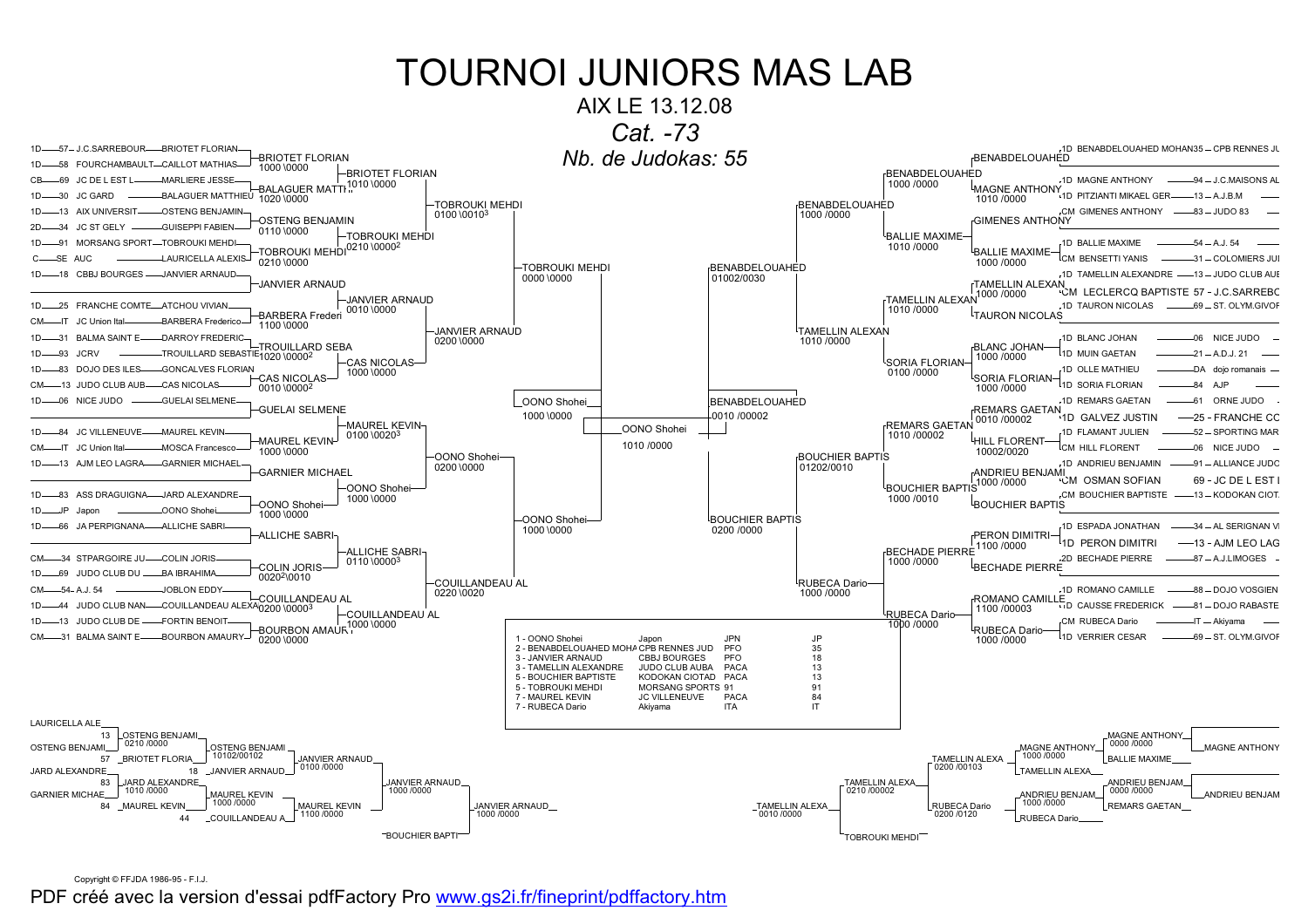



Copyright © FFJDA 1986-95 - F.I.J.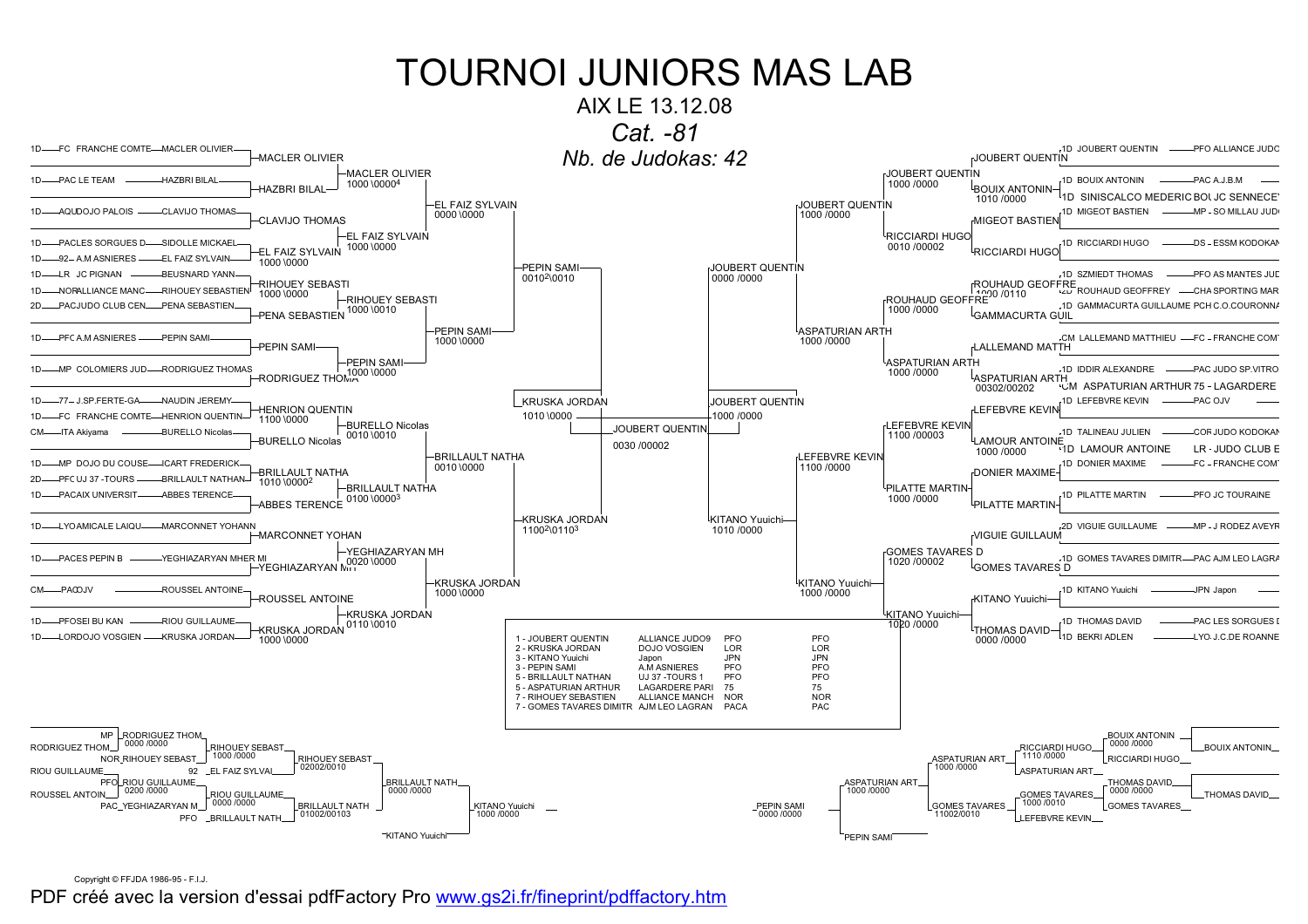

Copyright © FFJDA 1986-95 - F.I.J.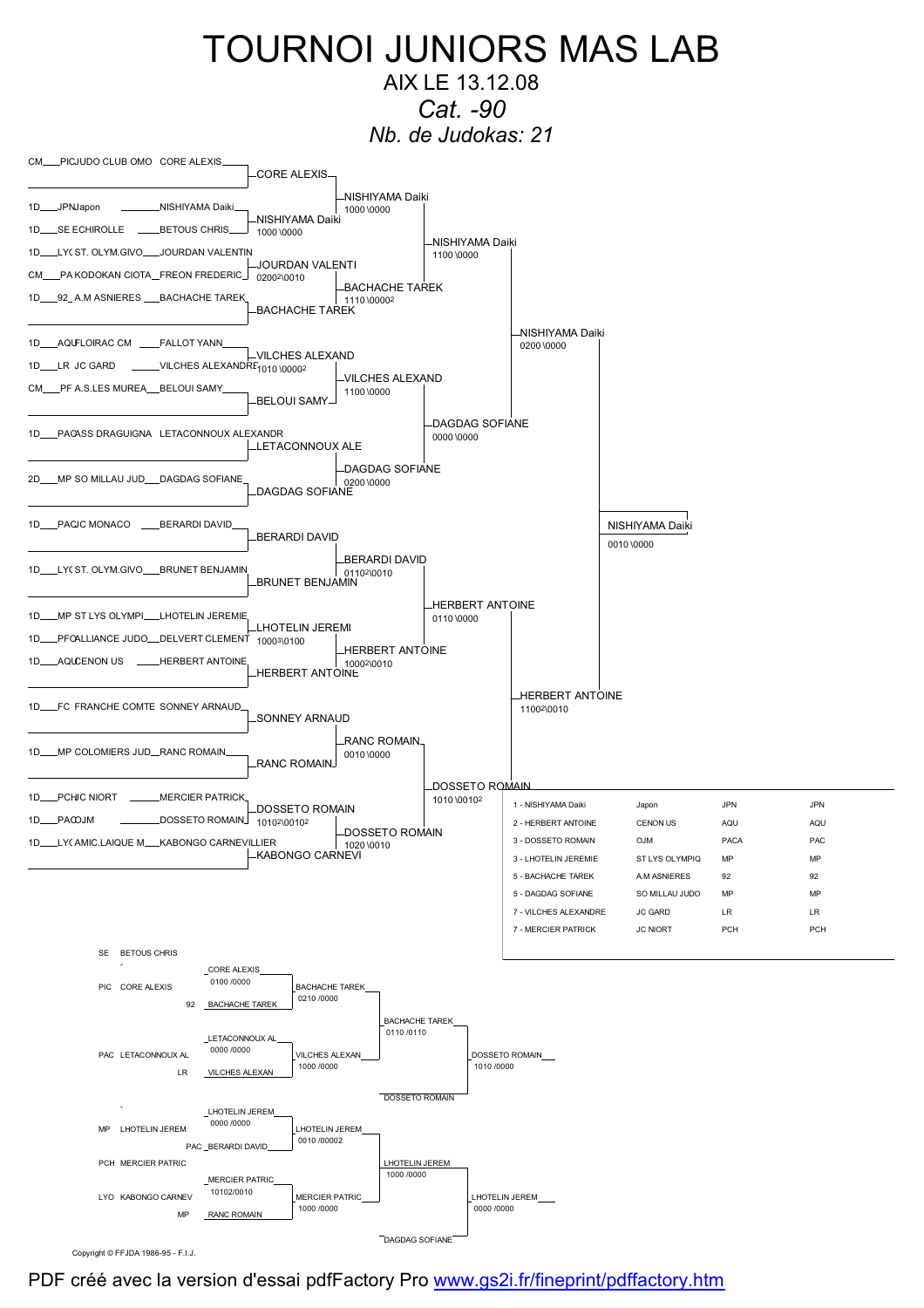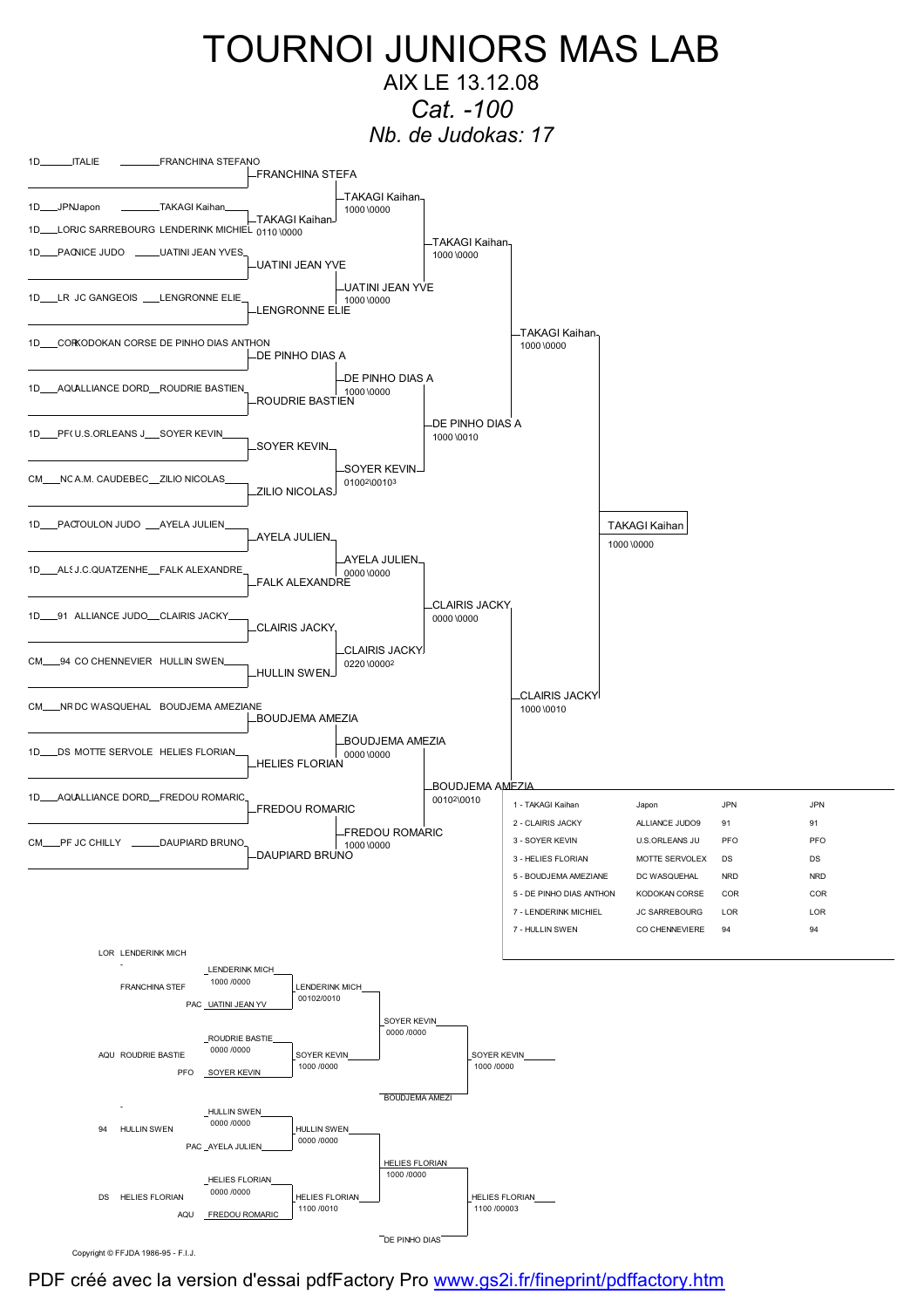